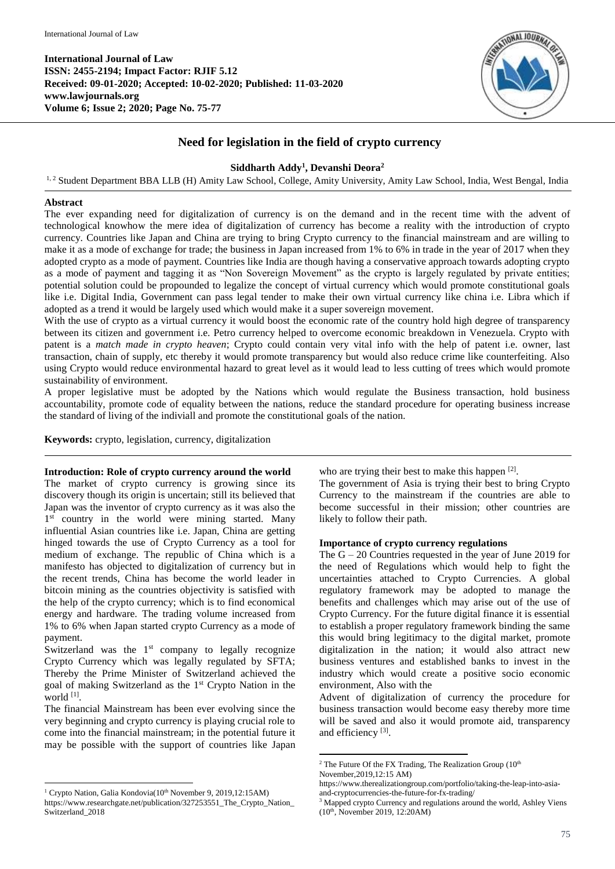

# **Need for legislation in the field of crypto currency**

## **Siddharth Addy<sup>1</sup> , Devanshi Deora<sup>2</sup>**

<sup>1, 2</sup> Student Department BBA LLB (H) Amity Law School, College, Amity University, Amity Law School, India, West Bengal, India

### **Abstract**

The ever expanding need for digitalization of currency is on the demand and in the recent time with the advent of technological knowhow the mere idea of digitalization of currency has become a reality with the introduction of crypto currency. Countries like Japan and China are trying to bring Crypto currency to the financial mainstream and are willing to make it as a mode of exchange for trade; the business in Japan increased from 1% to 6% in trade in the year of 2017 when they adopted crypto as a mode of payment. Countries like India are though having a conservative approach towards adopting crypto as a mode of payment and tagging it as "Non Sovereign Movement" as the crypto is largely regulated by private entities; potential solution could be propounded to legalize the concept of virtual currency which would promote constitutional goals like i.e. Digital India, Government can pass legal tender to make their own virtual currency like china i.e. Libra which if adopted as a trend it would be largely used which would make it a super sovereign movement.

With the use of crypto as a virtual currency it would boost the economic rate of the country hold high degree of transparency between its citizen and government i.e. Petro currency helped to overcome economic breakdown in Venezuela. Crypto with patent is a *match made in crypto heaven*; Crypto could contain very vital info with the help of patent i.e. owner, last transaction, chain of supply, etc thereby it would promote transparency but would also reduce crime like counterfeiting. Also using Crypto would reduce environmental hazard to great level as it would lead to less cutting of trees which would promote sustainability of environment.

A proper legislative must be adopted by the Nations which would regulate the Business transaction, hold business accountability, promote code of equality between the nations, reduce the standard procedure for operating business increase the standard of living of the indiviall and promote the constitutional goals of the nation.

**Keywords:** crypto, legislation, currency, digitalization

#### **Introduction: Role of crypto currency around the world**

The market of crypto currency is growing since its discovery though its origin is uncertain; still its believed that Japan was the inventor of crypto currency as it was also the 1<sup>st</sup> country in the world were mining started. Many influential Asian countries like i.e. Japan, China are getting hinged towards the use of Crypto Currency as a tool for medium of exchange. The republic of China which is a manifesto has objected to digitalization of currency but in the recent trends, China has become the world leader in bitcoin mining as the countries objectivity is satisfied with the help of the crypto currency; which is to find economical energy and hardware. The trading volume increased from 1% to 6% when Japan started crypto Currency as a mode of payment.

Switzerland was the  $1<sup>st</sup>$  company to legally recognize Crypto Currency which was legally regulated by SFTA; Thereby the Prime Minister of Switzerland achieved the goal of making Switzerland as the 1st Crypto Nation in the world [1] .

The financial Mainstream has been ever evolving since the very beginning and crypto currency is playing crucial role to come into the financial mainstream; in the potential future it may be possible with the support of countries like Japan

1

who are trying their best to make this happen [2].

The government of Asia is trying their best to bring Crypto Currency to the mainstream if the countries are able to become successful in their mission; other countries are likely to follow their path.

#### **Importance of crypto currency regulations**

The G – 20 Countries requested in the year of June 2019 for the need of Regulations which would help to fight the uncertainties attached to Crypto Currencies. A global regulatory framework may be adopted to manage the benefits and challenges which may arise out of the use of Crypto Currency. For the future digital finance it is essential to establish a proper regulatory framework binding the same this would bring legitimacy to the digital market, promote digitalization in the nation; it would also attract new business ventures and established banks to invest in the industry which would create a positive socio economic environment, Also with the

Advent of digitalization of currency the procedure for business transaction would become easy thereby more time will be saved and also it would promote aid, transparency and efficiency<sup>[3]</sup>.

**.** 

<sup>&</sup>lt;sup>1</sup> Crypto Nation, Galia Kondovia(10<sup>th</sup> November 9, 2019,12:15AM) https://www.researchgate.net/publication/327253551\_The\_Crypto\_Nation\_ Switzerland\_2018

<sup>&</sup>lt;sup>2</sup> The Future Of the FX Trading, The Realization Group  $(10<sup>th</sup>$ 

November,2019,12:15 AM)

https://www.therealizationgroup.com/portfolio/taking-the-leap-into-asiaand-cryptocurrencies-the-future-for-fx-trading/

<sup>&</sup>lt;sup>3</sup> Mapped crypto Currency and regulations around the world, Ashley Viens (10<sup>th</sup>, November 2019, 12:20AM)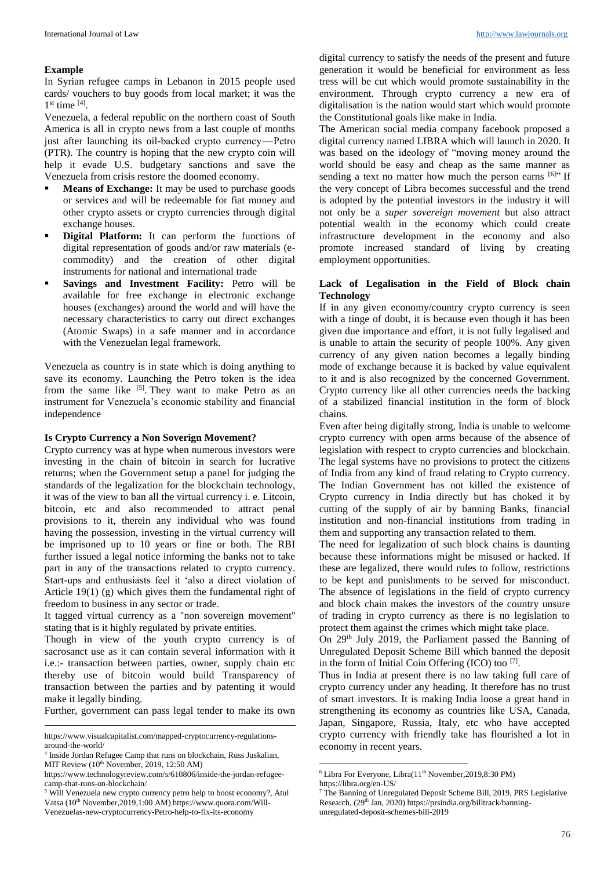#### **Example**

In Syrian refugee camps in Lebanon in 2015 people used cards/ vouchers to buy goods from local market; it was the  $1<sup>st</sup>$  time  $<sup>[4]</sup>$ .</sup>

Venezuela, a federal republic on the northern coast of South America is all in crypto news from a last couple of months just after launching its oil-backed crypto currency — Petro (PTR). The country is hoping that the new crypto coin will help it evade U.S. budgetary sanctions and save the Venezuela from crisis restore the doomed economy.

- **Means of Exchange:** It may be used to purchase goods or services and will be redeemable for fiat money and other crypto assets or crypto currencies through digital exchange houses.
- **Digital Platform:** It can perform the functions of digital representation of goods and/or raw materials (ecommodity) and the creation of other digital instruments for national and international trade
- **Savings and Investment Facility:** Petro will be available for free exchange in electronic exchange houses (exchanges) around the world and will have the necessary characteristics to carry out direct exchanges (Atomic Swaps) in a safe manner and in accordance with the Venezuelan legal framework.

Venezuela as country is in state which is doing anything to save its economy. Launching the Petro token is the idea from the same like  $[5]$ . They want to make Petro as an instrument for Venezuela's economic stability and financial independence

### **Is Crypto Currency a Non Soverign Movement?**

Crypto currency was at hype when numerous investors were investing in the chain of bitcoin in search for lucrative returns; when the Government setup a panel for judging the standards of the legalization for the blockchain technology, it was of the view to ban all the virtual currency i. e. Litcoin, bitcoin, etc and also recommended to attract penal provisions to it, therein any individual who was found having the possession, investing in the virtual currency will be imprisoned up to 10 years or fine or both. The RBI further issued a legal notice informing the banks not to take part in any of the transactions related to crypto currency. Start-ups and enthusiasts feel it 'also a direct violation of Article 19(1) (g) which gives them the fundamental right of freedom to business in any sector or trade.

It tagged virtual currency as a ''non sovereign movement'' stating that is it highly regulated by private entities.

Though in view of the youth crypto currency is of sacrosanct use as it can contain several information with it i.e.:- transaction between parties, owner, supply chain etc thereby use of bitcoin would build Transparency of transaction between the parties and by patenting it would make it legally binding.

Further, government can pass legal tender to make its own

1

digital currency to satisfy the needs of the present and future generation it would be beneficial for environment as less tress will be cut which would promote sustainability in the environment. Through crypto currency a new era of digitalisation is the nation would start which would promote the Constitutional goals like make in India.

The American social media company facebook proposed a digital currency named LIBRA which will launch in 2020. It was based on the ideology of "moving money around the world should be easy and cheap as the same manner as sending a text no matter how much the person earns  $[6]$ " If the very concept of Libra becomes successful and the trend is adopted by the potential investors in the industry it will not only be a *super sovereign movement* but also attract potential wealth in the economy which could create infrastructure development in the economy and also promote increased standard of living by creating employment opportunities.

#### **Lack of Legalisation in the Field of Block chain Technology**

If in any given economy/country crypto currency is seen with a tinge of doubt, it is because even though it has been given due importance and effort, it is not fully legalised and is unable to attain the security of people 100%. Any given currency of any given nation becomes a legally binding mode of exchange because it is backed by value equivalent to it and is also recognized by the concerned Government. Crypto currency like all other currencies needs the backing of a stabilized financial institution in the form of block chains.

Even after being digitally strong, India is unable to welcome crypto currency with open arms because of the absence of legislation with respect to crypto currencies and blockchain. The legal systems have no provisions to protect the citizens of India from any kind of fraud relating to Crypto currency. The Indian Government has not killed the existence of Crypto currency in India directly but has choked it by cutting of the supply of air by banning Banks, financial institution and non-financial institutions from trading in them and supporting any transaction related to them.

The need for legalization of such block chains is daunting because these informations might be misused or hacked. If these are legalized, there would rules to follow, restrictions to be kept and punishments to be served for misconduct. The absence of legislations in the field of crypto currency and block chain makes the investors of the country unsure of trading in crypto currency as there is no legislation to protect them against the crimes which might take place.

On 29<sup>th</sup> July 2019, the Parliament passed the Banning of Unregulated Deposit Scheme Bill which banned the deposit in the form of Initial Coin Offering (ICO) too [7].

Thus in India at present there is no law taking full care of crypto currency under any heading. It therefore has no trust of smart investors. It is making India loose a great hand in strengthening its economy as countries like USA, Canada, Japan, Singapore, Russia, Italy, etc who have accepted crypto currency with friendly take has flourished a lot in economy in recent years.

1

https://www.visualcapitalist.com/mapped-cryptocurrency-regulationsaround-the-world/

<sup>4</sup> Inside Jordan Refugee Camp that runs on blockchain, Russ Juskalian, MIT Review  $(10<sup>th</sup>$  November, 2019, 12:50 AM)

https://www.technologyreview.com/s/610806/inside-the-jordan-refugeecamp-that-runs-on-blockchain/

<sup>5</sup> Will Venezuela new crypto currency petro help to boost economy?, Atul Vatsa (10<sup>th</sup> November, 2019, 1:00 AM) https://www.quora.com/Will-Venezuelas-new-cryptocurrency-Petro-help-to-fix-its-economy

 $6$  Libra For Everyone, Libra $(11<sup>th</sup>$  November, 2019, 8:30 PM)

https://libra.org/en-US/

<sup>7</sup> The Banning of Unregulated Deposit Scheme Bill, 2019, PRS Legislative Research, (29<sup>th</sup> Jan, 2020) https://prsindia.org/billtrack/banningunregulated-deposit-schemes-bill-2019